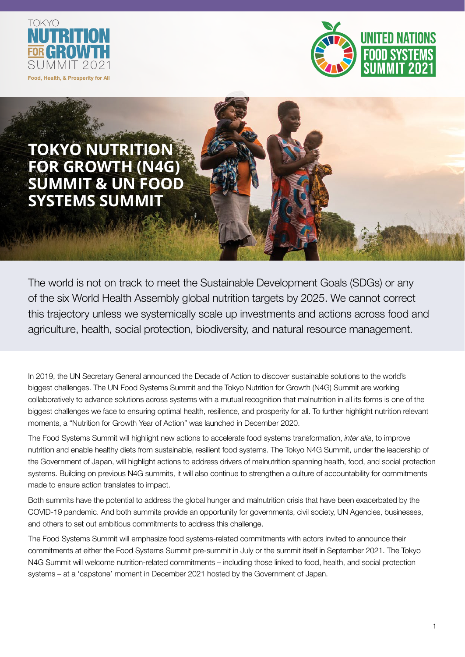



# **TOKYO NUTRITION FOR GROWTH (N4G) SUMMIT & UN FOOD SYSTEMS SUMMIT**

The world is not on track to meet the Sustainable Development Goals (SDGs) or any of the six World Health Assembly global nutrition targets by 2025. We cannot correct this trajectory unless we systemically scale up investments and actions across food and agriculture, health, social protection, biodiversity, and natural resource management.

In 2019, the UN Secretary General announced the Decade of Action to discover sustainable solutions to the world's biggest challenges. The UN Food Systems Summit and the Tokyo Nutrition for Growth (N4G) Summit are working collaboratively to advance solutions across systems with a mutual recognition that malnutrition in all its forms is one of the biggest challenges we face to ensuring optimal health, resilience, and prosperity for all. To further highlight nutrition relevant moments, a "Nutrition for Growth Year of Action" was launched in December 2020.

The Food Systems Summit will highlight new actions to accelerate food systems transformation, *inter alia*, to improve nutrition and enable healthy diets from sustainable, resilient food systems. The Tokyo N4G Summit, under the leadership of the Government of Japan, will highlight actions to address drivers of malnutrition spanning health, food, and social protection systems. Building on previous N4G summits, it will also continue to strengthen a culture of accountability for commitments made to ensure action translates to impact.

Both summits have the potential to address the global hunger and malnutrition crisis that have been exacerbated by the COVID-19 pandemic. And both summits provide an opportunity for governments, civil society, UN Agencies, businesses, and others to set out ambitious commitments to address this challenge.

The Food Systems Summit will emphasize food systems-related commitments with actors invited to announce their commitments at either the Food Systems Summit pre-summit in July or the summit itself in September 2021. The Tokyo N4G Summit will welcome nutrition-related commitments – including those linked to food, health, and social protection systems – at a 'capstone' moment in December 2021 hosted by the Government of Japan.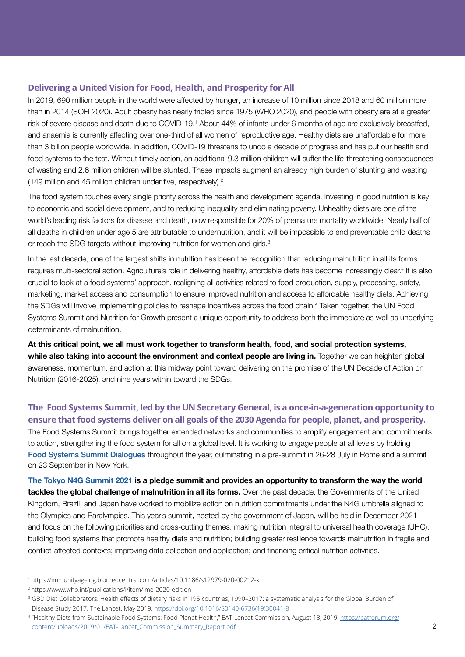#### **Delivering a United Vision for Food, Health, and Prosperity for All**

In 2019, 690 million people in the world were affected by hunger, an increase of 10 million since 2018 and 60 million more than in 2014 (SOFI 2020). Adult obesity has nearly tripled since 1975 (WHO 2020), and people with obesity are at a greater risk of severe disease and death due to COVID-19.<sup>1</sup> About 44% of infants under 6 months of age are exclusively breastfed, and anaemia is currently affecting over one-third of all women of reproductive age. Healthy diets are unaffordable for more than 3 billion people worldwide. In addition, COVID-19 threatens to undo a decade of progress and has put our health and food systems to the test. Without timely action, an additional 9.3 million children will suffer the life-threatening consequences of wasting and 2.6 million children will be stunted. These impacts augment an already high burden of stunting and wasting (149 million and 45 million children under five, respectively).<sup>2</sup>

The food system touches every single priority across the health and development agenda. Investing in good nutrition is key to economic and social development, and to reducing inequality and eliminating poverty. Unhealthy diets are one of the world's leading risk factors for disease and death, now responsible for 20% of premature mortality worldwide. Nearly half of all deaths in children under age 5 are attributable to undernutrition, and it will be impossible to end preventable child deaths or reach the SDG targets without improving nutrition for women and girls.<sup>3</sup>

In the last decade, one of the largest shifts in nutrition has been the recognition that reducing malnutrition in all its forms requires multi-sectoral action. Agriculture's role in delivering healthy, affordable diets has become increasingly clear.<sup>4</sup> It is also crucial to look at a food systems' approach, realigning all activities related to food production, supply, processing, safety, marketing, market access and consumption to ensure improved nutrition and access to affordable healthy diets. Achieving the SDGs will involve implementing policies to reshape incentives across the food chain.<sup>4</sup> Taken together, the UN Food Systems Summit and Nutrition for Growth present a unique opportunity to address both the immediate as well as underlying determinants of malnutrition.

**At this critical point, we all must work together to transform health, food, and social protection systems, while also taking into account the environment and context people are living in.** Together we can heighten global awareness, momentum, and action at this midway point toward delivering on the promise of the UN Decade of Action on Nutrition (2016-2025), and nine years within toward the SDGs.

### **The Food Systems Summit, led by the UN Secretary General, is a once-in-a-generation opportunity to ensure that food systems deliver on all goals of the 2030 Agenda for people, planet, and prosperity.**

The Food Systems Summit brings together extended networks and communities to amplify engagement and commitments to action, strengthening the food system for all on a global level. It is working to engage people at all levels by holding [Food Systems Summit Dialogues](https://summitdialogues.org/overview/) throughout the year, culminating in a pre-summit in 26-28 July in Rome and a summit on 23 September in New York.

**[The Tokyo N4G Summit 2021](https://nutritionforgrowth.org/events/) is a pledge summit and provides an opportunity to transform the way the world tackles the global challenge of malnutrition in all its forms.** Over the past decade, the Governments of the United Kingdom, Brazil, and Japan have worked to mobilize action on nutrition commitments under the N4G umbrella aligned to the Olympics and Paralympics. This year's summit, hosted by the government of Japan, will be held in December 2021 and focus on the following priorities and cross-cutting themes: making nutrition integral to universal health coverage (UHC); building food systems that promote healthy diets and nutrition; building greater resilience towards malnutrition in fragile and conflict-affected contexts; improving data collection and application; and financing critical nutrition activities.

- 1 https://immunityageing.biomedcentral.com/articles/10.1186/s12979-020-00212-x
- 2 https://www.who.int/publications/i/item/jme-2020-edition

<sup>&</sup>lt;sup>3</sup> GBD Diet Collaborators. Health effects of dietary risks in 195 countries, 1990-2017: a systematic analysis for the Global Burden of Disease Study 2017. The Lancet. May 2019. [https://doi.org/10.1016/S0140-6736\(19\)30041-8](https://doi.org/10.1016/S0140-6736(19)30041-8)

<sup>4 &</sup>quot;Healthy Diets from Sustainable Food Systems: Food Planet Health," EAT-Lancet Commission, August 13, 2019, [https://eatforum.org/](https://eatforum.org/content/uploads/2019/01/EAT-Lancet_Commission_Summary_Report.pdf) [content/uploads/2019/01/EAT-Lancet\\_Commission\\_Summary\\_Report.pdf](https://eatforum.org/content/uploads/2019/01/EAT-Lancet_Commission_Summary_Report.pdf)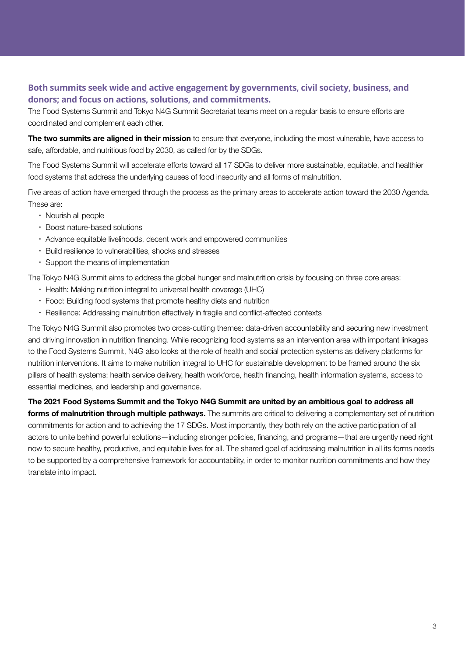#### **Both summits seek wide and active engagement by governments, civil society, business, and donors; and focus on actions, solutions, and commitments.**

The Food Systems Summit and Tokyo N4G Summit Secretariat teams meet on a regular basis to ensure efforts are coordinated and complement each other.

**The two summits are aligned in their mission** to ensure that everyone, including the most vulnerable, have access to safe, affordable, and nutritious food by 2030, as called for by the SDGs.

The Food Systems Summit will accelerate efforts toward all 17 SDGs to deliver more sustainable, equitable, and healthier food systems that address the underlying causes of food insecurity and all forms of malnutrition.

Five areas of action have emerged through the process as the primary areas to accelerate action toward the 2030 Agenda. These are:

- Nourish all people
- Boost nature-based solutions
- Advance equitable livelihoods, decent work and empowered communities
- Build resilience to vulnerabilities, shocks and stresses
- Support the means of implementation

The Tokyo N4G Summit aims to address the global hunger and malnutrition crisis by focusing on three core areas:

- Health: Making nutrition integral to universal health coverage (UHC)
- Food: Building food systems that promote healthy diets and nutrition
- Resilience: Addressing malnutrition effectively in fragile and conflict-affected contexts

The Tokyo N4G Summit also promotes two cross-cutting themes: data-driven accountability and securing new investment and driving innovation in nutrition financing. While recognizing food systems as an intervention area with important linkages to the Food Systems Summit, N4G also looks at the role of health and social protection systems as delivery platforms for nutrition interventions. It aims to make nutrition integral to UHC for sustainable development to be framed around the six pillars of health systems: health service delivery, health workforce, health financing, health information systems, access to essential medicines, and leadership and governance.

**The 2021 Food Systems Summit and the Tokyo N4G Summit are united by an ambitious goal to address all forms of malnutrition through multiple pathways.** The summits are critical to delivering a complementary set of nutrition commitments for action and to achieving the 17 SDGs. Most importantly, they both rely on the active participation of all actors to unite behind powerful solutions—including stronger policies, financing, and programs—that are urgently need right now to secure healthy, productive, and equitable lives for all. The shared goal of addressing malnutrition in all its forms needs to be supported by a comprehensive framework for accountability, in order to monitor nutrition commitments and how they translate into impact.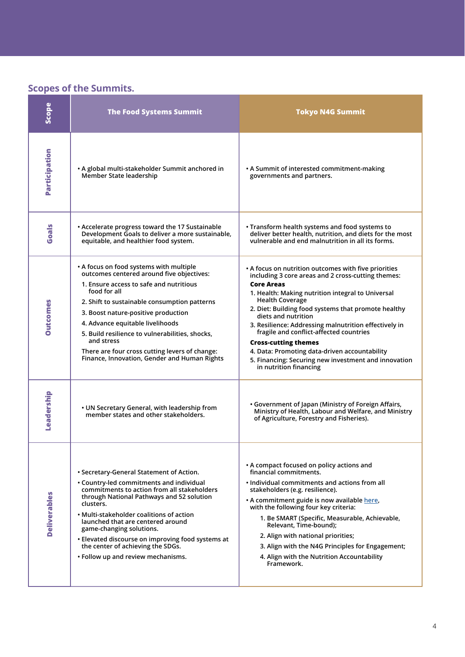## **Scopes of the Summits.**

| <b>Scope</b>        | <b>The Food Systems Summit</b>                                                                                                                                                                                                                                                                                                                                                                                                                | <b>Tokyo N4G Summit</b>                                                                                                                                                                                                                                                                                                                                                                                                                                                                                                                                            |
|---------------------|-----------------------------------------------------------------------------------------------------------------------------------------------------------------------------------------------------------------------------------------------------------------------------------------------------------------------------------------------------------------------------------------------------------------------------------------------|--------------------------------------------------------------------------------------------------------------------------------------------------------------------------------------------------------------------------------------------------------------------------------------------------------------------------------------------------------------------------------------------------------------------------------------------------------------------------------------------------------------------------------------------------------------------|
| Participation       | • A global multi-stakeholder Summit anchored in<br>Member State leadership                                                                                                                                                                                                                                                                                                                                                                    | • A Summit of interested commitment-making<br>governments and partners.                                                                                                                                                                                                                                                                                                                                                                                                                                                                                            |
| Goals               | • Accelerate progress toward the 17 Sustainable<br>Development Goals to deliver a more sustainable,<br>equitable, and healthier food system.                                                                                                                                                                                                                                                                                                  | • Transform health systems and food systems to<br>deliver better health, nutrition, and diets for the most<br>vulnerable and end malnutrition in all its forms.                                                                                                                                                                                                                                                                                                                                                                                                    |
| <b>Outcomes</b>     | • A focus on food systems with multiple<br>outcomes centered around five objectives:<br>1. Ensure access to safe and nutritious<br>food for all<br>2. Shift to sustainable consumption patterns<br>3. Boost nature-positive production<br>4. Advance equitable livelihoods<br>5. Build resilience to vulnerabilities, shocks,<br>and stress<br>There are four cross cutting levers of change:<br>Finance, Innovation, Gender and Human Rights | • A focus on nutrition outcomes with five priorities<br>including 3 core areas and 2 cross-cutting themes:<br><b>Core Areas</b><br>1. Health: Making nutrition integral to Universal<br><b>Health Coverage</b><br>2. Diet: Building food systems that promote healthy<br>diets and nutrition<br>3. Resilience: Addressing malnutrition effectively in<br>fragile and conflict-affected countries<br><b>Cross-cutting themes</b><br>4. Data: Promoting data-driven accountability<br>5. Financing: Securing new investment and innovation<br>in nutrition financing |
| Leadership          | • UN Secretary General, with leadership from<br>member states and other stakeholders.                                                                                                                                                                                                                                                                                                                                                         | • Government of Japan (Ministry of Foreign Affairs,<br>Ministry of Health, Labour and Welfare, and Ministry<br>of Agriculture, Forestry and Fisheries).                                                                                                                                                                                                                                                                                                                                                                                                            |
| <b>Deliverables</b> | • Secretary-General Statement of Action.<br>• Country-led commitments and individual<br>commitments to action from all stakeholders<br>through National Pathways and 52 solution<br>clusters.<br>• Multi-stakeholder coalitions of action<br>launched that are centered around<br>game-changing solutions.<br>• Elevated discourse on improving food systems at<br>the center of achieving the SDGs.<br>• Follow up and review mechanisms.    | • A compact focused on policy actions and<br>financial commitments.<br>. Individual commitments and actions from all<br>stakeholders (e.g. resilience).<br>• A commitment guide is now available here,<br>with the following four key criteria:<br>1. Be SMART (Specific, Measurable, Achievable,<br>Relevant, Time-bound);<br>2. Align with national priorities:<br>3. Align with the N4G Principles for Engagement;<br>4. Align with the Nutrition Accountability<br>Framework.                                                                                  |